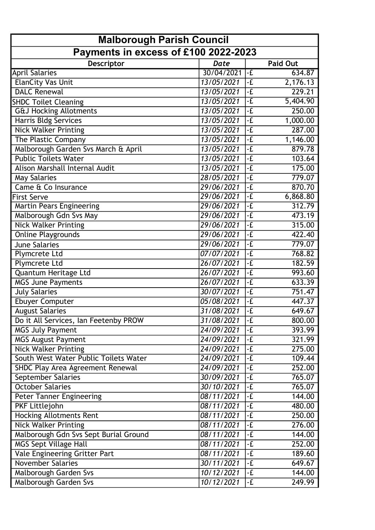| <b>Malborough Parish Council</b><br>Payments in excess of £100 2022-2023 |            |               |          |  |
|--------------------------------------------------------------------------|------------|---------------|----------|--|
|                                                                          |            |               |          |  |
| <b>April Salaries</b>                                                    | 30/04/2021 | $-F$          | 634.87   |  |
| <b>ElanCity Vas Unit</b>                                                 | 13/05/2021 | $-\mathbf{f}$ | 2,176.13 |  |
| <b>DALC Renewal</b>                                                      | 13/05/2021 | $-E$          | 229.21   |  |
| <b>SHDC Toilet Cleaning</b>                                              | 13/05/2021 | $-E$          | 5,404.90 |  |
| <b>G&amp;J Hocking Allotments</b>                                        | 13/05/2021 | $-\mathbf{f}$ | 250.00   |  |
| <b>Harris Bldg Services</b>                                              | 13/05/2021 | $-E$          | 1,000.00 |  |
| <b>Nick Walker Printing</b>                                              | 13/05/2021 | $-E$          | 287.00   |  |
| The Plastic Company                                                      | 13/05/2021 | $-E$          | 1,146.00 |  |
| Malborough Garden Svs March & April                                      | 13/05/2021 | $-\mathbf{E}$ | 879.78   |  |
| <b>Public Toilets Water</b>                                              | 13/05/2021 | $-E$          | 103.64   |  |
| Alison Marshall Internal Audit                                           | 13/05/2021 | $-\mathbf{E}$ | 175.00   |  |
| <b>May Salaries</b>                                                      | 28/05/2021 | $-E$          | 779.07   |  |
| Came & Co Insurance                                                      | 29/06/2021 | $-\mathbf{f}$ | 870.70   |  |
| <b>First Serve</b>                                                       | 29/06/2021 | $-E$          | 6,868.80 |  |
| <b>Martin Pears Engineering</b>                                          | 29/06/2021 | $-\mathbf{f}$ | 312.79   |  |
| Malborough Gdn Svs May                                                   | 29/06/2021 | $-E$          | 473.19   |  |
| <b>Nick Walker Printing</b>                                              | 29/06/2021 | $-\mathbf{f}$ | 315.00   |  |
| <b>Online Playgrounds</b>                                                | 29/06/2021 | $-E$          | 422.40   |  |
| <b>June Salaries</b>                                                     | 29/06/2021 | $-\mathbf{E}$ | 779.07   |  |
| Plymcrete Ltd                                                            | 07/07/2021 | $-E$          | 768.82   |  |
| Plymcrete Ltd                                                            | 26/07/2021 | $-\mathbf{f}$ | 182.59   |  |
| Quantum Heritage Ltd                                                     | 26/07/2021 | $-E$          | 993.60   |  |
| <b>MGS June Payments</b>                                                 | 26/07/2021 | $-E$          | 633.39   |  |
| <b>July Salaries</b>                                                     | 30/07/2021 | $-E$          | 751.47   |  |
| <b>Ebuyer Computer</b>                                                   | 05/08/2021 | $-\mathbf{f}$ | 447.37   |  |
| <b>August Salaries</b>                                                   | 31/08/2021 | $-\mathbf{f}$ | 649.67   |  |
| Do it All Services, Ian Feetenby PROW                                    | 31/08/2021 | l-£           | 800.00   |  |
| <b>MGS July Payment</b>                                                  | 24/09/2021 | $-E$          | 393.99   |  |
| <b>MGS August Payment</b>                                                | 24/09/2021 | -£            | 321.99   |  |
| <b>Nick Walker Printing</b>                                              | 24/09/2021 | $-E$          | 275.00   |  |
| South West Water Public Toilets Water                                    | 24/09/2021 | $-E$          | 109.44   |  |
| SHDC Play Area Agreement Renewal                                         | 24/09/2021 | $-E$          | 252.00   |  |
| September Salaries                                                       | 30/09/2021 | -£            | 765.07   |  |
| <b>October Salaries</b>                                                  | 30/10/2021 | $-E$          | 765.07   |  |
| <b>Peter Tanner Engineering</b>                                          | 08/11/2021 | $-E$          | 144.00   |  |
| PKF Littlejohn                                                           | 08/11/2021 | $-E$          | 480.00   |  |
| <b>Hocking Allotments Rent</b>                                           | 08/11/2021 | -£            | 250.00   |  |
| <b>Nick Walker Printing</b>                                              | 08/11/2021 | $-\mathbf{E}$ | 276.00   |  |
| Malborough Gdn Svs Sept Burial Ground                                    | 08/11/2021 | $-E$          | 144.00   |  |
| <b>MGS Sept Village Hall</b>                                             | 08/11/2021 | $-\mathbf{f}$ | 252.00   |  |
| Vale Engineering Gritter Part                                            | 08/11/2021 | $-E$          | 189.60   |  |
| <b>November Salaries</b>                                                 | 30/11/2021 | $-\mathbf{E}$ | 649.67   |  |
| Malborough Garden Svs                                                    | 10/12/2021 | $-E$          | 144.00   |  |
| Malborough Garden Svs                                                    | 10/12/2021 | $-E$          | 249.99   |  |